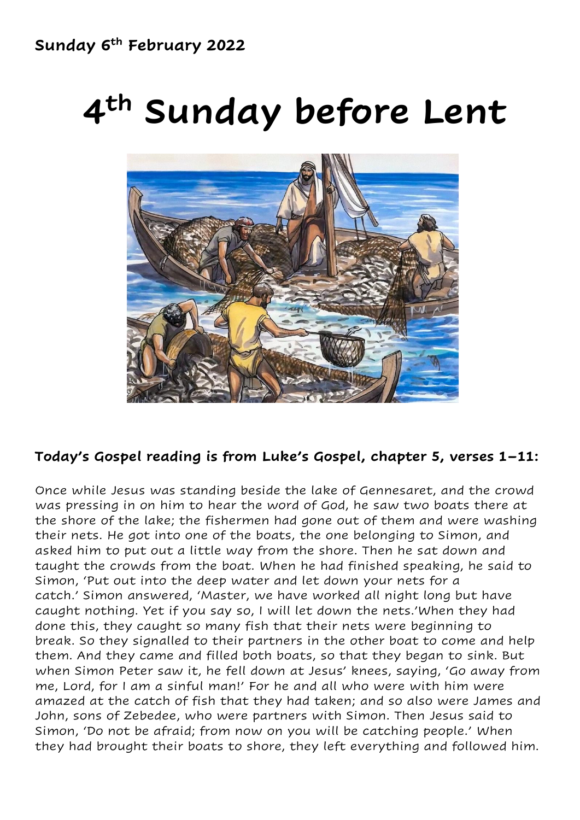# **4 th Sunday before Lent**



### **Today's Gospel reading is from Luke's Gospel, chapter 5, verses 1–11:**

Once while Jesus was standing beside the lake of Gennesaret, and the crowd was pressing in on him to hear the word of God, he saw two boats there at the shore of the lake; the fishermen had gone out of them and were washing their nets. He got into one of the boats, the one belonging to Simon, and asked him to put out a little way from the shore. Then he sat down and taught the crowds from the boat. When he had finished speaking, he said to Simon, 'Put out into the deep water and let down your nets for a catch.' Simon answered, 'Master, we have worked all night long but have caught nothing. Yet if you say so, I will let down the nets.'When they had done this, they caught so many fish that their nets were beginning to break. So they signalled to their partners in the other boat to come and help them. And they came and filled both boats, so that they began to sink. But when Simon Peter saw it, he fell down at Jesus' knees, saying, 'Go away from me, Lord, for I am a sinful man!' For he and all who were with him were amazed at the catch of fish that they had taken; and so also were James and John, sons of Zebedee, who were partners with Simon. Then Jesus said to Simon, 'Do not be afraid; from now on you will be catching people.' When they had brought their boats to shore, they left everything and followed him.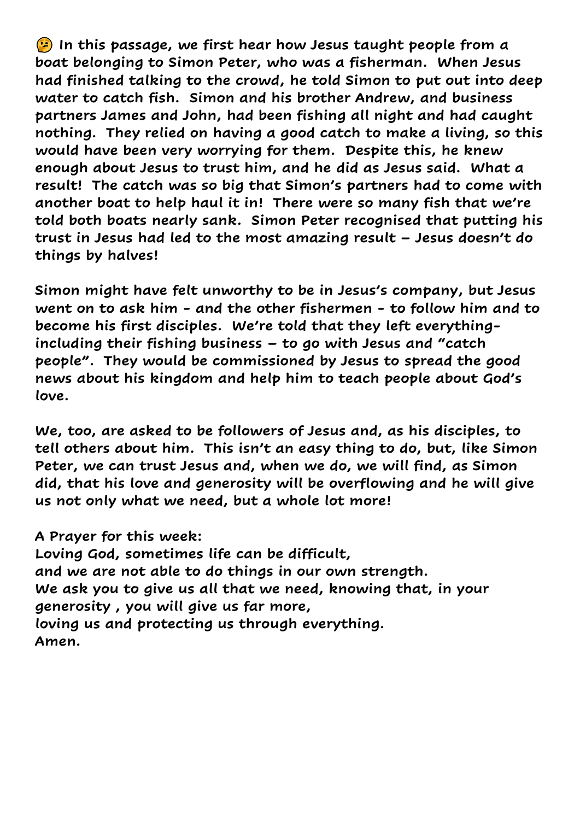**In this passage, we first hear how Jesus taught people from a boat belonging to Simon Peter, who was a fisherman. When Jesus had finished talking to the crowd, he told Simon to put out into deep water to catch fish. Simon and his brother Andrew, and business partners James and John, had been fishing all night and had caught nothing. They relied on having a good catch to make a living, so this would have been very worrying for them. Despite this, he knew enough about Jesus to trust him, and he did as Jesus said. What a result! The catch was so big that Simon's partners had to come with another boat to help haul it in! There were so many fish that we're told both boats nearly sank. Simon Peter recognised that putting his trust in Jesus had led to the most amazing result – Jesus doesn't do things by halves!**

**Simon might have felt unworthy to be in Jesus's company, but Jesus went on to ask him - and the other fishermen - to follow him and to become his first disciples. We're told that they left everythingincluding their fishing business – to go with Jesus and "catch people". They would be commissioned by Jesus to spread the good news about his kingdom and help him to teach people about God's love.**

**We, too, are asked to be followers of Jesus and, as his disciples, to tell others about him. This isn't an easy thing to do, but, like Simon Peter, we can trust Jesus and, when we do, we will find, as Simon did, that his love and generosity will be overflowing and he will give us not only what we need, but a whole lot more!** 

**A Prayer for this week:** 

**Loving God, sometimes life can be difficult, and we are not able to do things in our own strength. We ask you to give us all that we need, knowing that, in your generosity , you will give us far more, loving us and protecting us through everything. Amen.**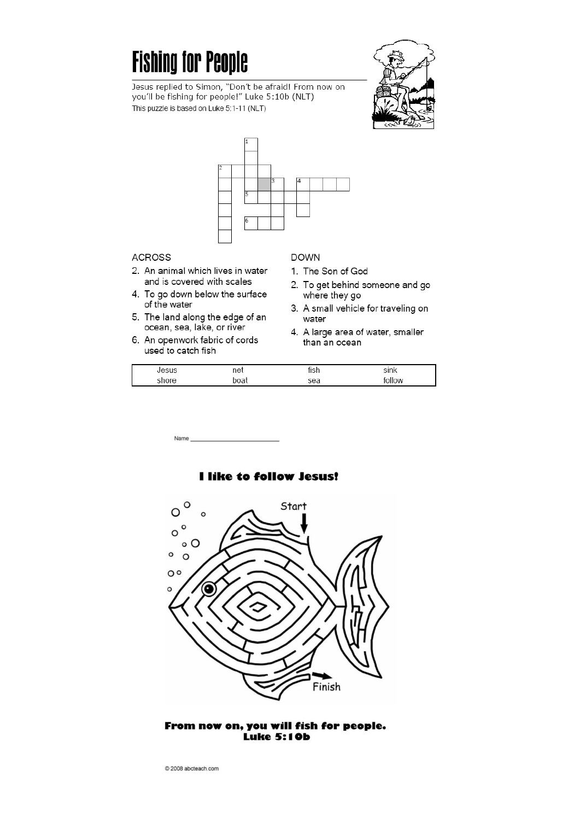## **Fishing for People**



Jesus replied to Simon, "Don't be afraid! From now on you'll be fishing for people!" Luke 5:10b (NLT) This puzzle is based on Luke 5:1-11 (NLT)



#### **ACROSS**

- 2. An animal which lives in water and is covered with scales
- 4. To go down below the surface of the water
- 5. The land along the edge of an ocean, sea, lake, or river
- 6. An openwork fabric of cords used to catch fish

Name

#### **DOWN**

- 1. The Son of God
- 2. To get behind someone and go where they go
- 3. A small vehicle for traveling on water
- 4. A large area of water, smaller than an ocean

| LOCI | net | . 13 L | sink  |
|------|-----|--------|-------|
|      | วดล | sea    | ollow |

O Start  $\circ$  $\circ$  $\circ$  $\circ$  O  $\circ$  $\circ$  $\circ$  $\epsilon$ Finish

#### From now on, you will fish for people. **Luke 5:10b**

#### **I like to follow Jesus!**